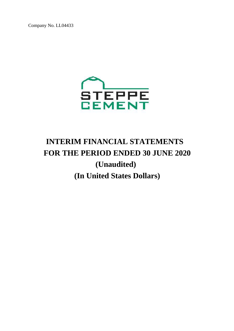

# **INTERIM FINANCIAL STATEMENTS FOR THE PERIOD ENDED 30 JUNE 2020 (Unaudited) (In United States Dollars)**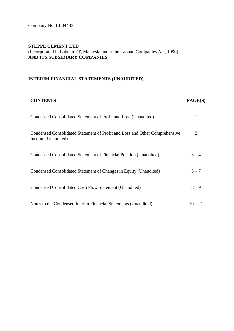### **INTERIM FINANCIAL STATEMENTS (UNAUDITED)**

#### **CONTENTS PAGE(S)**

| Condensed Consolidated Statement of Profit and Loss (Unaudited)                                   |           |
|---------------------------------------------------------------------------------------------------|-----------|
| Condensed Consolidated Statement of Profit and Loss and Other Comprehensive<br>Income (Unaudited) | 2         |
| Condensed Consolidated Statement of Financial Position (Unaudited)                                | $3 - 4$   |
| Condensed Consolidated Statement of Changes in Equity (Unaudited)                                 | $5 - 7$   |
| Condensed Consolidated Cash Flow Statement (Unaudited)                                            | $8 - 9$   |
| Notes to the Condensed Interim Financial Statements (Unaudited)                                   | $10 - 21$ |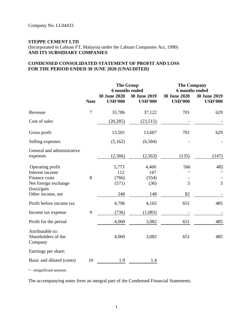#### **CONDENSED CONSOLIDATED STATEMENT OF PROFIT AND LOSS FOR THE PERIOD ENDED 30 JUNE 2020 (UNAUDITED)**

|                                                                          |             |                                       | <b>The Group</b><br><b>6</b> months ended | <b>The Company</b><br><b>6</b> months ended |                                |
|--------------------------------------------------------------------------|-------------|---------------------------------------|-------------------------------------------|---------------------------------------------|--------------------------------|
|                                                                          | <b>Note</b> | <b>30 June 2020</b><br><b>USD'000</b> | 30 June 2019<br><b>USD'000</b>            | <b>30 June 2020</b><br><b>USD'000</b>       | 30 June 2019<br><b>USD'000</b> |
| Revenue                                                                  | 7           | 33,786                                | 37,122                                    | 701                                         | 629                            |
| Cost of sales                                                            |             | (20, 285)                             | (23,515)                                  |                                             |                                |
| Gross profit                                                             |             | 13,501                                | 13,607                                    | 701                                         | 629                            |
| Selling expenses                                                         |             | (5,162)                               | (6, 584)                                  |                                             |                                |
| General and administrative<br>expenses                                   |             | (2,566)                               | (2, 563)                                  | (135)                                       | (147)                          |
| Operating profit<br>Interest income<br>Finance costs                     | 8           | 5,773<br>112<br>(766)                 | 4,460<br>147<br>(554)                     | 566<br>Λ                                    | 482<br>Λ                       |
| Net foreign exchange<br>$(\text{loss})/\text{gain}$<br>Other income, net |             | (571)<br>248                          | (36)<br>148                               | 3<br>82                                     | 3                              |
| Profit before income tax                                                 |             | 4,796                                 | 4,165                                     | 651                                         | 485                            |
| Income tax expense                                                       | 9           | (736)                                 | (1,083)                                   |                                             |                                |
| Profit for the period                                                    |             | 4,060                                 | 3,082                                     | 651                                         | 485                            |
| Attributable to:<br>Shareholders of the<br>Company                       |             | 4,060                                 | 3,082                                     | 651                                         | 485                            |
| Earnings per share:                                                      |             |                                       |                                           |                                             |                                |
| Basic and diluted (cents)                                                | 10          | 1.9                                   | 1.4                                       |                                             |                                |

^ - insignificant amount.

The accompanying notes form an integral part of the Condensed Financial Statements.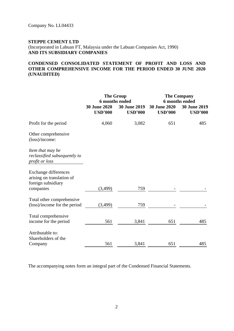#### **CONDENSED CONSOLIDATED STATEMENT OF PROFIT AND LOSS AND OTHER COMPREHENSIVE INCOME FOR THE PERIOD ENDED 30 JUNE 2020 (UNAUDITED)**

|                                                                                             | <b>The Group</b><br>6 months ended<br><b>30 June 2020</b><br><b>30 June 2019</b><br><b>USD'000</b><br><b>USD'000</b> |       | <b>The Company</b><br><b>6</b> months ended<br><b>30 June 2020</b><br>30 June 2019<br><b>USD'000</b><br><b>USD'000</b> |     |  |
|---------------------------------------------------------------------------------------------|----------------------------------------------------------------------------------------------------------------------|-------|------------------------------------------------------------------------------------------------------------------------|-----|--|
| Profit for the period                                                                       | 4,060                                                                                                                | 3,082 | 651                                                                                                                    | 485 |  |
| Other comprehensive<br>(loss)/income:                                                       |                                                                                                                      |       |                                                                                                                        |     |  |
| Item that may be<br>reclassified subsequently to<br>profit or loss                          |                                                                                                                      |       |                                                                                                                        |     |  |
| <b>Exchange differences</b><br>arising on translation of<br>foreign subsidiary<br>companies | (3,499)                                                                                                              | 759   |                                                                                                                        |     |  |
| Total other comprehensive<br>(loss)/income for the period                                   | (3,499)                                                                                                              | 759   |                                                                                                                        |     |  |
| Total comprehensive<br>income for the period                                                | 561                                                                                                                  | 3,841 | 651                                                                                                                    | 485 |  |
| Attributable to:<br>Shareholders of the<br>Company                                          | 561                                                                                                                  | 3,841 | 651                                                                                                                    | 485 |  |

The accompanying notes form an integral part of the Condensed Financial Statements.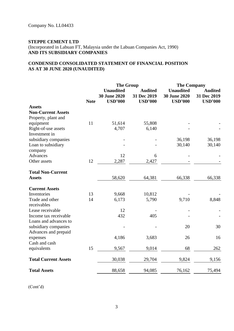#### **CONDENSED CONSOLIDATED STATEMENT OF FINANCIAL POSITION AS AT 30 JUNE 2020 (UNAUDITED)**

|                             |             | <b>The Group</b>                                          |                                                 | <b>The Company</b>                                        |                                                 |
|-----------------------------|-------------|-----------------------------------------------------------|-------------------------------------------------|-----------------------------------------------------------|-------------------------------------------------|
|                             | <b>Note</b> | <b>Unaudited</b><br><b>30 June 2020</b><br><b>USD'000</b> | <b>Audited</b><br>31 Dec 2019<br><b>USD'000</b> | <b>Unaudited</b><br><b>30 June 2020</b><br><b>USD'000</b> | <b>Audited</b><br>31 Dec 2019<br><b>USD'000</b> |
| <b>Assets</b>               |             |                                                           |                                                 |                                                           |                                                 |
| <b>Non-Current Assets</b>   |             |                                                           |                                                 |                                                           |                                                 |
| Property, plant and         |             |                                                           |                                                 |                                                           |                                                 |
| equipment                   | 11          | 51,614                                                    | 55,808                                          |                                                           |                                                 |
| Right-of-use assets         |             | 4,707                                                     | 6,140                                           |                                                           |                                                 |
| Investment in               |             |                                                           |                                                 |                                                           |                                                 |
| subsidiary companies        |             |                                                           |                                                 | 36,198                                                    | 36,198                                          |
| Loan to subsidiary          |             |                                                           |                                                 | 30,140                                                    | 30,140                                          |
| company                     |             |                                                           |                                                 |                                                           |                                                 |
| Advances                    |             | 12                                                        | 6                                               |                                                           |                                                 |
| Other assets                | 12          | 2,287                                                     | 2,427                                           |                                                           |                                                 |
| <b>Total Non-Current</b>    |             |                                                           |                                                 |                                                           |                                                 |
| <b>Assets</b>               |             | 58,620                                                    | 64,381                                          | 66,338                                                    | 66,338                                          |
| <b>Current Assets</b>       |             |                                                           |                                                 |                                                           |                                                 |
| Inventories                 | 13          | 9,668                                                     | 10,812                                          |                                                           |                                                 |
| Trade and other             | 14          | 6,173                                                     | 5,790                                           | 9,710                                                     | 8,848                                           |
| receivables                 |             |                                                           |                                                 |                                                           |                                                 |
| Lease receivable            |             | 12                                                        |                                                 |                                                           |                                                 |
| Income tax receivable       |             | 432                                                       | 405                                             |                                                           |                                                 |
| Loans and advances to       |             |                                                           |                                                 |                                                           |                                                 |
| subsidiary companies        |             |                                                           |                                                 | 20                                                        | 30                                              |
| Advances and prepaid        |             |                                                           |                                                 |                                                           |                                                 |
| expenses                    |             | 4,186                                                     | 3,683                                           | 26                                                        | 16                                              |
| Cash and cash               |             |                                                           |                                                 |                                                           |                                                 |
| equivalents                 | 15          | 9,567                                                     | 9,014                                           | 68                                                        | 262                                             |
| <b>Total Current Assets</b> |             | 30,038                                                    | 29,704                                          | 9,824                                                     | 9,156                                           |
| <b>Total Assets</b>         |             | 88,658                                                    | 94,085                                          | 76,162                                                    | 75,494                                          |

(Cont'd)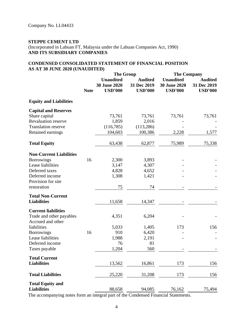#### **CONDENSED CONSOLIDATED STATEMENT OF FINANCIAL POSITION AS AT 30 JUNE 2020 (UNAUDITED)**

|                                |             | <b>The Group</b>                                          |                                                 | <b>The Company</b>                                        |                                                 |
|--------------------------------|-------------|-----------------------------------------------------------|-------------------------------------------------|-----------------------------------------------------------|-------------------------------------------------|
|                                | <b>Note</b> | <b>Unaudited</b><br><b>30 June 2020</b><br><b>USD'000</b> | <b>Audited</b><br>31 Dec 2019<br><b>USD'000</b> | <b>Unaudited</b><br><b>30 June 2020</b><br><b>USD'000</b> | <b>Audited</b><br>31 Dec 2019<br><b>USD'000</b> |
| <b>Equity and Liabilities</b>  |             |                                                           |                                                 |                                                           |                                                 |
| <b>Capital and Reserves</b>    |             |                                                           |                                                 |                                                           |                                                 |
| Share capital                  |             | 73,761                                                    | 73,761                                          | 73,761                                                    | 73,761                                          |
| <b>Revaluation reserve</b>     |             | 1,859                                                     | 2,016                                           |                                                           |                                                 |
| <b>Translation reserve</b>     |             | (116,785)                                                 | (113, 286)                                      |                                                           |                                                 |
| Retained earnings              |             | 104,603                                                   | 100,386                                         | 2,228                                                     | 1,577                                           |
| <b>Total Equity</b>            |             | 63,438                                                    | 62,877                                          | 75,989                                                    | 75,338                                          |
| <b>Non-Current Liabilities</b> |             |                                                           |                                                 |                                                           |                                                 |
| <b>Borrowings</b>              | 16          | 2,300                                                     | 3,893                                           |                                                           |                                                 |
| Lease liabilities              |             | 3,147                                                     | 4,307                                           |                                                           |                                                 |
| Deferred taxes                 |             | 4,828                                                     | 4,652                                           |                                                           |                                                 |
| Deferred income                |             | 1,308                                                     | 1,421                                           |                                                           |                                                 |
| Provision for site             |             |                                                           |                                                 |                                                           |                                                 |
| restoration                    |             | 75                                                        | 74                                              |                                                           |                                                 |
| <b>Total Non-Current</b>       |             |                                                           |                                                 |                                                           |                                                 |
| <b>Liabilities</b>             |             | 11,658                                                    | 14,347                                          |                                                           |                                                 |
| <b>Current liabilities</b>     |             |                                                           |                                                 |                                                           |                                                 |
| Trade and other payables       |             | 4,351                                                     | 6,204                                           |                                                           |                                                 |
| Accrued and other              |             |                                                           |                                                 |                                                           |                                                 |
| liabilities                    |             | 5,033                                                     | 1,405                                           | 173                                                       | 156                                             |
| <b>Borrowings</b>              | 16          | 910                                                       | 6,420                                           |                                                           |                                                 |
| Lease liabilities              |             | 1,988                                                     | 2,191                                           |                                                           |                                                 |
| Deferred income                |             | 76                                                        | 81                                              |                                                           |                                                 |
| Taxes payable                  |             | 1,204                                                     | 560                                             |                                                           |                                                 |
| <b>Total Current</b>           |             |                                                           |                                                 |                                                           |                                                 |
| <b>Liabilities</b>             |             | 13,562                                                    | 16,861                                          | 173                                                       | 156                                             |
| <b>Total Liabilities</b>       |             | 25,220                                                    | 31,208                                          | 173                                                       | 156                                             |
| <b>Total Equity and</b>        |             |                                                           |                                                 |                                                           |                                                 |
| <b>Liabilities</b>             |             | 88,658                                                    | 94,085                                          | 76,162                                                    | 75,494                                          |

The accompanying notes form an integral part of the Condensed Financial Statements.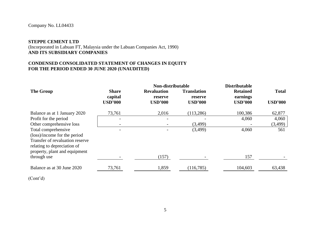#### **STEPPE CEMENT LTD**

### (Incorporated in Labuan FT, Malaysia under the Labuan Companies Act, 1990) **AND ITS SUBSIDIARY COMPANIES**

#### **CONDENSED CONSOLIDATED STATEMENT OF CHANGES IN EQUITY FOR THE PERIOD ENDED 30 JUNE 2020 (UNAUDITED)**

|                                                                                                                                                        |                           | Non-distributable         |                           | <b>Distributable</b>       |                |
|--------------------------------------------------------------------------------------------------------------------------------------------------------|---------------------------|---------------------------|---------------------------|----------------------------|----------------|
| <b>The Group</b>                                                                                                                                       | <b>Share</b>              | <b>Revaluation</b>        | <b>Translation</b>        | <b>Retained</b>            | <b>Total</b>   |
|                                                                                                                                                        | capital<br><b>USD'000</b> | reserve<br><b>USD'000</b> | reserve<br><b>USD'000</b> | earnings<br><b>USD'000</b> | <b>USD'000</b> |
| Balance as at 1 January 2020                                                                                                                           | 73,761                    | 2,016                     | (113, 286)                | 100,386                    | 62,877         |
| Profit for the period                                                                                                                                  |                           |                           |                           | 4,060                      | 4,060          |
| Other comprehensive loss                                                                                                                               |                           |                           | (3,499)                   |                            | (3,499)        |
| Total comprehensive<br>(loss)/income for the period<br>Transfer of revaluation reserve<br>relating to depreciation of<br>property, plant and equipment |                           |                           | (3,499)                   | 4,060                      | 561            |
| through use                                                                                                                                            |                           | (157)                     |                           | 157                        |                |
| Balance as at 30 June 2020                                                                                                                             | 73,761                    | 1,859                     | (116,785)                 | 104,603                    | 63,438         |

(Cont'd)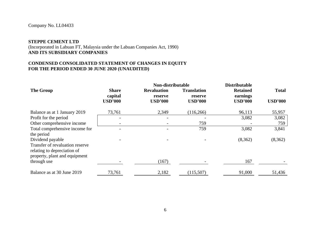#### **STEPPE CEMENT LTD**

#### (Incorporated in Labuan FT, Malaysia under the Labuan Companies Act, 1990) **AND ITS SUBSIDIARY COMPANIES**

#### **CONDENSED CONSOLIDATED STATEMENT OF CHANGES IN EQUITY FOR THE PERIOD ENDED 30 JUNE 2020 (UNAUDITED)**

|                                                                                                                     | Non-distributable                         |                                                 |                                                 | <b>Distributable</b>                          |                                |
|---------------------------------------------------------------------------------------------------------------------|-------------------------------------------|-------------------------------------------------|-------------------------------------------------|-----------------------------------------------|--------------------------------|
| <b>The Group</b>                                                                                                    | <b>Share</b><br>capital<br><b>USD'000</b> | <b>Revaluation</b><br>reserve<br><b>USD'000</b> | <b>Translation</b><br>reserve<br><b>USD'000</b> | <b>Retained</b><br>earnings<br><b>USD'000</b> | <b>Total</b><br><b>USD'000</b> |
| Balance as at 1 January 2019                                                                                        | 73,761                                    | 2,349                                           | (116, 266)                                      | 96,113                                        | 55,957                         |
| Profit for the period                                                                                               |                                           |                                                 |                                                 | 3,082                                         | 3,082                          |
| Other comprehensive income                                                                                          |                                           |                                                 | 759                                             |                                               | 759                            |
| Total comprehensive income for<br>the period                                                                        |                                           |                                                 | 759                                             | 3,082                                         | 3,841                          |
| Dividend payable<br>Transfer of revaluation reserve<br>relating to depreciation of<br>property, plant and equipment |                                           |                                                 |                                                 | (8,362)                                       | (8,362)                        |
| through use                                                                                                         |                                           | (167)                                           |                                                 | 167                                           |                                |
| Balance as at 30 June 2019                                                                                          | 73,761                                    | 2,182                                           | (115,507)                                       | 91,000                                        | 51,436                         |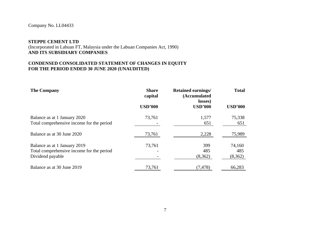### **STEPPE CEMENT LTD**

#### (Incorporated in Labuan FT, Malaysia under the Labuan Companies Act, 1990) **AND ITS SUBSIDIARY COMPANIES**

#### **CONDENSED CONSOLIDATED STATEMENT OF CHANGES IN EQUITY FOR THE PERIOD ENDED 30 JUNE 2020 (UNAUDITED)**

| <b>The Company</b>                                                                            | <b>Share</b><br>capital | <b>Retained earnings/</b><br>(Accumulated<br>losses) | <b>Total</b>             |
|-----------------------------------------------------------------------------------------------|-------------------------|------------------------------------------------------|--------------------------|
|                                                                                               | <b>USD'000</b>          | <b>USD'000</b>                                       | <b>USD'000</b>           |
| Balance as at 1 January 2020<br>Total comprehensive income for the period                     | 73,761                  | 1,577<br>651                                         | 75,338<br>651            |
| Balance as at 30 June 2020                                                                    | 73,761                  | 2,228                                                | 75,989                   |
| Balance as at 1 January 2019<br>Total comprehensive income for the period<br>Dividend payable | 73,761                  | 399<br>485<br>(8,362)                                | 74,160<br>485<br>(8,362) |
| Balance as at 30 June 2019                                                                    | 73,761                  | (7, 478)                                             | 66,283                   |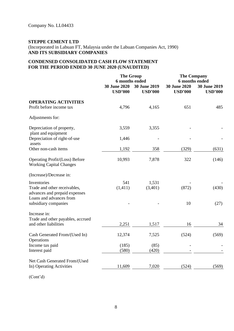### **STEPPE CEMENT LTD**

(Incorporated in Labuan FT, Malaysia under the Labuan Companies Act, 1990) **AND ITS SUBSIDIARY COMPANIES**

#### **CONDENSED CONSOLIDATED CASH FLOW STATEMENT FOR THE PERIOD ENDED 30 JUNE 2020 (UNAUDITED)**

|                                                                                                         |                                | <b>The Group</b><br>6 months ended    |                                       | <b>The Company</b><br>6 months ended |  |
|---------------------------------------------------------------------------------------------------------|--------------------------------|---------------------------------------|---------------------------------------|--------------------------------------|--|
|                                                                                                         | 30 June 2020<br><b>USD'000</b> | <b>30 June 2019</b><br><b>USD'000</b> | <b>30 June 2020</b><br><b>USD'000</b> | 30 June 2019<br><b>USD'000</b>       |  |
| <b>OPERATING ACTIVITIES</b><br>Profit before income tax                                                 | 4,796                          | 4,165                                 | 651                                   | 485                                  |  |
| Adjustments for:                                                                                        |                                |                                       |                                       |                                      |  |
| Depreciation of property,<br>plant and equipment                                                        | 3,559                          | 3,355                                 |                                       |                                      |  |
| Depreciation of right-of-use<br>assets                                                                  | 1,446                          |                                       |                                       |                                      |  |
| Other non-cash items                                                                                    | 1,192                          | 358                                   | (329)                                 | (631)                                |  |
| Operating Profit/(Loss) Before<br><b>Working Capital Changes</b>                                        | 10,993                         | 7,878                                 | 322                                   | (146)                                |  |
| (Increase)/Decrease in:                                                                                 |                                |                                       |                                       |                                      |  |
| Inventories<br>Trade and other receivables,<br>advances and prepaid expenses<br>Loans and advances from | 541<br>(1, 411)                | 1,531<br>(3,401)                      | (872)                                 | (430)                                |  |
| subsidiary companies                                                                                    |                                |                                       | 10                                    | (27)                                 |  |
| Increase in:<br>Trade and other payables, accrued<br>and other liabilities                              | 2,251                          | 1,517                                 | 16                                    | 34                                   |  |
| Cash Generated From/(Used In)<br>Operations                                                             | 12,374                         | 7,525                                 | (524)                                 | (569)                                |  |
| Income tax paid<br>Interest paid                                                                        | (185)<br>(580)                 | (85)<br>(420)                         |                                       |                                      |  |
|                                                                                                         |                                |                                       |                                       |                                      |  |
| Net Cash Generated From/(Used<br>In) Operating Activities                                               | 11,609                         | 7,020                                 | (524)                                 | (569)                                |  |
|                                                                                                         |                                |                                       |                                       |                                      |  |

(Cont'd)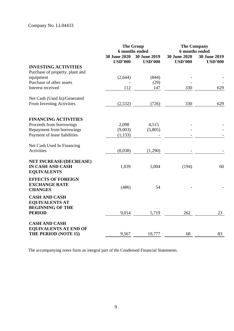|                                                                                           | <b>The Group</b><br>6 months ended<br><b>30 June 2020</b><br>30 June 2019 |                | <b>The Company</b><br>6 months ended<br><b>30 June 2020</b> |                |
|-------------------------------------------------------------------------------------------|---------------------------------------------------------------------------|----------------|-------------------------------------------------------------|----------------|
|                                                                                           | <b>USD'000</b>                                                            | <b>USD'000</b> | <b>USD'000</b>                                              | <b>USD'000</b> |
| <b>INVESTING ACTIVITIES</b>                                                               |                                                                           |                |                                                             |                |
| Purchase of property, plant and<br>equipment                                              | (2,644)                                                                   | (844)          |                                                             |                |
| Purchase of other assets                                                                  |                                                                           | (29)           |                                                             |                |
| Interest received                                                                         | 112                                                                       | 147            | 330                                                         | 629            |
| Net Cash (Used In)/Generated                                                              |                                                                           |                |                                                             |                |
| From Investing Activities                                                                 | (2, 532)                                                                  | (726)          | 330                                                         | 629            |
| <b>FINANCING ACTIVITIES</b>                                                               |                                                                           |                |                                                             |                |
| Proceeds from borrowings                                                                  | 2,098                                                                     | 4,515          |                                                             |                |
| Repayment from borrowings                                                                 | (9,003)                                                                   | (5,805)        |                                                             |                |
| Payment of lease liabilities                                                              | (1, 133)                                                                  |                |                                                             |                |
| Net Cash Used In Financing                                                                |                                                                           |                |                                                             |                |
| Activities                                                                                | (8,038)                                                                   | (1,290)        |                                                             |                |
| <b>NET INCREASE/(DECREASE)</b><br><b>IN CASH AND CASH</b><br><b>EQUIVALENTS</b>           | 1,039                                                                     | 5,004          | (194)                                                       | 60             |
| <b>EFFECTS OF FOREIGN</b><br><b>EXCHANGE RATE</b><br><b>CHANGES</b>                       | (486)                                                                     | 54             |                                                             |                |
| <b>CASH AND CASH</b><br><b>EQUIVALENTS AT</b><br><b>BEGINNING OF THE</b><br><b>PERIOD</b> | 9,014                                                                     | 5,719          | 262                                                         | 23             |
|                                                                                           |                                                                           |                |                                                             |                |
| <b>CASH AND CASH</b><br><b>EQUIVALENTS AT END OF</b>                                      |                                                                           |                |                                                             |                |
| <b>THE PERIOD (NOTE 15)</b>                                                               | 9,567                                                                     | 10,777         | 68                                                          | 83             |

The accompanying notes form an integral part of the Condensed Financial Statements.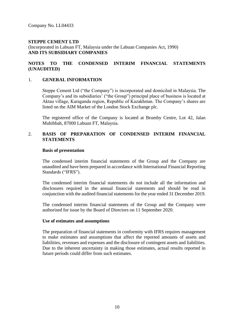#### **NOTES TO THE CONDENSED INTERIM FINANCIAL STATEMENTS (UNAUDITED)**

#### 1. **GENERAL INFORMATION**

Steppe Cement Ltd ("the Company") is incorporated and domiciled in Malaysia. The Company's and its subsidiaries' ("the Group") principal place of business is located at Aktau village, Karaganda region, Republic of Kazakhstan. The Company's shares are listed on the AIM Market of the London Stock Exchange plc.

The registered office of the Company is located at Brumby Centre, Lot 42, Jalan Muhibbah, 87000 Labuan FT, Malaysia.

#### 2. **BASIS OF PREPARATION OF CONDENSED INTERIM FINANCIAL STATEMENTS**

#### **Basis of presentation**

The condensed interim financial statements of the Group and the Company are unaudited and have been prepared in accordance with International Financial Reporting Standards ("IFRS").

The condensed interim financial statements do not include all the information and disclosures required in the annual financial statements and should be read in conjunction with the audited financial statements for the year ended 31 December 2019.

The condensed interim financial statements of the Group and the Company were authorised for issue by the Board of Directors on 11 September 2020.

#### **Use of estimates and assumptions**

The preparation of financial statements in conformity with IFRS requires management to make estimates and assumptions that affect the reported amounts of assets and liabilities, revenues and expenses and the disclosure of contingent assets and liabilities. Due to the inherent uncertainty in making those estimates, actual results reported in future periods could differ from such estimates.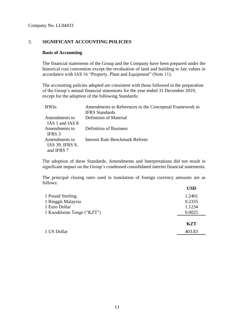#### 3. **SIGNIFICANT ACCOUNTING POLICIES**

#### **Basis of Accounting**

The financial statements of the Group and the Company have been prepared under the historical cost convention except the revaluation of land and building to fair values in accordance with IAS 16 "Property, Plant and Equipment" (Note 11).

The accounting policies adopted are consistent with those followed in the preparation of the Group's annual financial statements for the year ended 31 December 2019, except for the adoption of the following Standards:

| <b>IFRSs</b>                                   | Amendments to References to the Conceptual Framework in<br><b>IFRS</b> Standards |
|------------------------------------------------|----------------------------------------------------------------------------------|
| Amendments to                                  | Definition of Material                                                           |
| IAS 1 and IAS 8                                |                                                                                  |
| Amendments to<br>IFRS 3                        | <b>Definition of Business</b>                                                    |
| Amendments to<br>IAS 39, IFRS 9,<br>and IFRS 7 | Interest Rate Benchmark Reform                                                   |

The adoption of these Standards, Amendments and Interpretations did not result in significant impact on the Group's condensed consolidated interim financial statements.

The principal closing rates used in translation of foreign currency amounts are as follows:  $\mathbf{U}$ 

|                            | <b>USD</b> |
|----------------------------|------------|
| 1 Pound Sterling           | 1.2401     |
| 1 Ringgit Malaysia         | 0.2335     |
| 1 Euro Dollar              | 1.1234     |
| 1 Kazakhstan Tenge ("KZT") | 0.0025     |
|                            | <b>KZT</b> |
| 1 US Dollar                | 403.83     |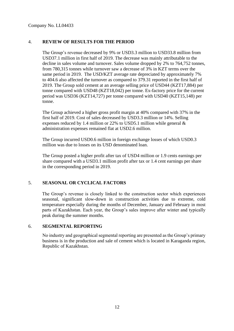### 4. **REVIEW OF RESULTS FOR THE PERIOD**

The Group's revenue decreased by 9% or USD3.3 million to USD33.8 million from USD37.1 million in first half of 2019. The decrease was mainly attributable to the decline in sales volume and turnover. Sales volume dropped by 2% to 764,752 tonnes, from 780,315 tonnes while turnover saw a decrease of 3% in KZT terms over the same period in 2019. The USD/KZT average rate depreciated by approximately 7% to 404.6 also affected the turnover as compared to 379.31 reported in the first half of 2019. The Group sold cement at an average selling price of USD44 (KZT17,884) per tonne compared with USD48 (KZT18,042) per tonne. Ex-factory price for the current period was USD36 (KZT14,727) per tonne compared with USD40 (KZT15,148) per tonne.

The Group achieved a higher gross profit margin at 40% compared with 37% in the first half of 2019. Cost of sales decreased by USD3.3 million or 14%. Selling expenses reduced by 1.4 million or 22% to USD5.1 million while general & administration expenses remained flat at USD2.6 million.

The Group incurred USD0.6 million in foreign exchange losses of which USD0.3 million was due to losses on its USD denominated loan.

The Group posted a higher profit after tax of USD4 million or 1.9 cents earnings per share compared with a USD3.1 million profit after tax or 1.4 cent earnings per share in the corresponding period in 2019.

#### 5. **SEASONAL OR CYCLICAL FACTORS**

The Group's revenue is closely linked to the construction sector which experiences seasonal, significant slow-down in construction activities due to extreme, cold temperature especially during the months of December, January and February in most parts of Kazakhstan. Each year, the Group's sales improve after winter and typically peak during the summer months.

#### 6. **SEGMENTAL REPORTING**

No industry and geographical segmental reporting are presented as the Group's primary business is in the production and sale of cement which is located in Karaganda region, Republic of Kazakhstan.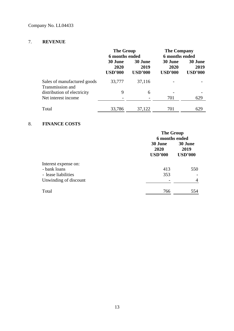### 7. **REVENUE**

|                                                 | <b>The Group</b><br>6 months ended       |                                          | <b>The Company</b><br><b>6 months ended</b> |                                   |
|-------------------------------------------------|------------------------------------------|------------------------------------------|---------------------------------------------|-----------------------------------|
|                                                 | <b>30 June</b><br>2020<br><b>USD'000</b> | <b>30 June</b><br>2019<br><b>USD'000</b> | <b>30 June</b><br>2020<br><b>USD'000</b>    | 30 June<br>2019<br><b>USD'000</b> |
| Sales of manufactured goods<br>Transmission and | 33,777                                   | 37,116                                   |                                             |                                   |
| distribution of electricity                     | 9                                        | 6                                        |                                             |                                   |
| Net interest income                             |                                          |                                          | 701                                         | 629                               |
| Total                                           | 33,786                                   | 37,122                                   | 701                                         | 629                               |

### 8. **FINANCE COSTS**

|                                     | <b>The Group</b><br>6 months ended |                                   |  |
|-------------------------------------|------------------------------------|-----------------------------------|--|
|                                     | 30 June<br>2020<br><b>USD'000</b>  | 30 June<br>2019<br><b>USD'000</b> |  |
| Interest expense on:                |                                    |                                   |  |
| - bank loans<br>- lease liabilities | 413<br>353                         | 550                               |  |
| Unwinding of discount               |                                    | 4                                 |  |
| Total                               | 766                                | 554                               |  |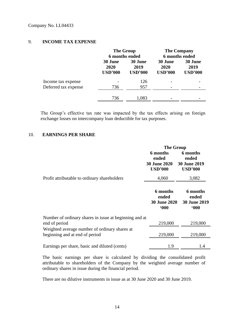#### 9. **INCOME TAX EXPENSE**

|                                            |                                   | <b>The Group</b><br>6 months ended |                                   | <b>The Company</b><br>6 months ended |  |
|--------------------------------------------|-----------------------------------|------------------------------------|-----------------------------------|--------------------------------------|--|
|                                            | 30 June<br>2020<br><b>USD'000</b> | 30 June<br>2019<br><b>USD'000</b>  | 30 June<br>2020<br><b>USD'000</b> | 30 June<br>2019<br><b>USD'000</b>    |  |
| Income tax expense<br>Deferred tax expense | 736                               | 126<br>957                         |                                   |                                      |  |
|                                            | 736                               | 1,083                              |                                   |                                      |  |

The Group's effective tax rate was impacted by the tax effects arising on foreign exchange losses on intercompany loan deductible for tax purposes.

#### 10. **EARNINGS PER SHARE**

|                                                                                 | <b>The Group</b>                                           |                                                            |  |
|---------------------------------------------------------------------------------|------------------------------------------------------------|------------------------------------------------------------|--|
|                                                                                 | 6 months<br>ended<br><b>30 June 2020</b><br><b>USD'000</b> | 6 months<br>ended<br><b>30 June 2019</b><br><b>USD'000</b> |  |
| Profit attributable to ordinary shareholders                                    | 4,060                                                      | 3,082                                                      |  |
|                                                                                 | 6 months<br>ended<br><b>30 June 2020</b><br>000            | 6 months<br>ended<br>30 June 2019<br>600                   |  |
| Number of ordinary shares in issue at beginning and at<br>end of period         | 219,000                                                    | 219,000                                                    |  |
| Weighted average number of ordinary shares at<br>beginning and at end of period | 219,000                                                    | 219,000                                                    |  |
| Earnings per share, basic and diluted (cents)                                   | 1.9                                                        | 1.4                                                        |  |

The basic earnings per share is calculated by dividing the consolidated profit attributable to shareholders of the Company by the weighted average number of ordinary shares in issue during the financial period.

There are no dilutive instruments in issue as at 30 June 2020 and 30 June 2019.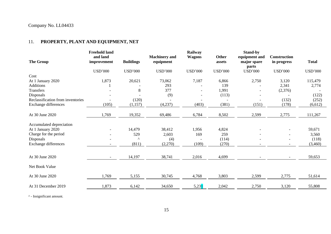## 11. **PROPERTY, PLANT AND EQUIPMENT, NET**

| <b>The Group</b>                  | <b>Freehold land</b><br>and land<br>improvement | <b>Buildings</b> | <b>Machinery</b> and<br>equipment | Railway<br><b>Wagons</b> | <b>Other</b><br>assets | <b>Stand-by</b><br>equipment and<br>major spare<br>parts | <b>Construction</b><br>in progress | <b>Total</b>   |
|-----------------------------------|-------------------------------------------------|------------------|-----------------------------------|--------------------------|------------------------|----------------------------------------------------------|------------------------------------|----------------|
|                                   | <b>USD'000</b>                                  | <b>USD'000</b>   | <b>USD'000</b>                    | <b>USD'000</b>           | <b>USD'000</b>         | <b>USD'000</b>                                           | <b>USD'000</b>                     | <b>USD'000</b> |
| Cost                              |                                                 |                  |                                   |                          |                        |                                                          |                                    |                |
| At 1 January 2020                 | 1,873                                           | 20,621           | 73,062                            | 7,187                    | 6,866                  | 2,750                                                    | 3,120                              | 115,479        |
| <b>Additions</b>                  |                                                 |                  | 293                               |                          | 139                    |                                                          | 2,341                              | 2,774          |
| Transfers                         |                                                 | 8                | 377                               |                          | 1,991                  |                                                          | (2,376)                            |                |
| Disposals                         |                                                 |                  | (9)                               |                          | (113)                  |                                                          |                                    | (122)          |
| Reclassification from inventories |                                                 | (120)            |                                   |                          |                        |                                                          | (132)                              | (252)          |
| Exchange differences              | (105)                                           | (1,157)          | (4,237)                           | (403)                    | (381)                  | (151)                                                    | (178)                              | (6,612)        |
| At 30 June 2020                   | 1,769                                           | 19,352           | 69,486                            | 6,784                    | 8,502                  | 2,599                                                    | 2,775                              | 111,267        |
|                                   |                                                 |                  |                                   |                          |                        |                                                          |                                    |                |
| Accumulated depreciation          |                                                 |                  |                                   |                          |                        |                                                          |                                    |                |
| At 1 January 2020                 | $\overline{\phantom{a}}$                        | 14,479           | 38,412                            | 1,956                    | 4,824                  |                                                          | $\overline{\phantom{a}}$           | 59,671         |
| Charge for the period             |                                                 | 529              | 2,603                             | 169                      | 259                    |                                                          |                                    | 3,560          |
| Disposals                         |                                                 | Λ                | (4)                               |                          | (114)                  |                                                          |                                    | (118)          |
| Exchange differences              |                                                 | (811)            | (2,270)                           | (109)                    | (270)                  |                                                          | $\overline{\phantom{a}}$           | (3,460)        |
|                                   |                                                 |                  |                                   |                          |                        |                                                          |                                    |                |
| At 30 June 2020                   | $\overline{\phantom{a}}$                        | 14,197           | 38,741                            | 2,016                    | 4,699                  |                                                          |                                    | 59,653         |
| Net Book Value                    |                                                 |                  |                                   |                          |                        |                                                          |                                    |                |
|                                   |                                                 |                  |                                   |                          |                        |                                                          |                                    |                |
| At 30 June 2020                   | 1,769                                           | 5,155            | 30,745                            | 4,768                    | 3,803                  | 2,599                                                    | 2,775                              | 51,614         |
| At 31 December 2019               | 1,873                                           | 6,142            | 34,650                            | 5,231                    | 2,042                  | 2,750                                                    | 3,120                              | 55,808         |

^ - Insignificant amount.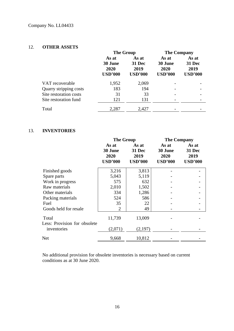#### 12. **OTHER ASSETS**

|                        | <b>The Group</b>                           |                                                  | <b>The Company</b>                         |                                                  |
|------------------------|--------------------------------------------|--------------------------------------------------|--------------------------------------------|--------------------------------------------------|
|                        | As at<br>30 June<br>2020<br><b>USD'000</b> | As at<br><b>31 Dec</b><br>2019<br><b>USD'000</b> | As at<br>30 June<br>2020<br><b>USD'000</b> | As at<br><b>31 Dec</b><br>2019<br><b>USD'000</b> |
| VAT recoverable        | 1,952                                      | 2,069                                            |                                            |                                                  |
| Quarry stripping costs | 183                                        | 194                                              |                                            |                                                  |
| Site restoration costs | 31                                         | 33                                               |                                            |                                                  |
| Site restoration fund  | 121                                        | 131                                              |                                            |                                                  |
| Total                  | 2,287                                      | 2,427                                            |                                            |                                                  |

#### 13. **INVENTORIES**

|                              | <b>The Group</b>                           |                                                  | <b>The Company</b>                         |                                           |
|------------------------------|--------------------------------------------|--------------------------------------------------|--------------------------------------------|-------------------------------------------|
|                              | As at<br>30 June<br>2020<br><b>USD'000</b> | As at<br><b>31 Dec</b><br>2019<br><b>USD'000</b> | As at<br>30 June<br>2020<br><b>USD'000</b> | As at<br>31 Dec<br>2019<br><b>USD'000</b> |
| Finished goods               | 3,216                                      | 3,813                                            |                                            |                                           |
| Spare parts                  | 5,043                                      | 5,119                                            |                                            |                                           |
| Work in progress             | 575                                        | 632                                              |                                            |                                           |
| Raw materials                | 2,010                                      | 1,502                                            |                                            |                                           |
| Other materials              | 334                                        | 1,286                                            |                                            |                                           |
| Packing materials            | 524                                        | 586                                              |                                            |                                           |
| Fuel                         | 35                                         | 22                                               |                                            |                                           |
| Goods held for resale        | $\overline{2}$                             | 49                                               |                                            |                                           |
| Total                        | 11,739                                     | 13,009                                           |                                            |                                           |
| Less: Provision for obsolete |                                            |                                                  |                                            |                                           |
| inventories                  | (2,071)                                    | (2,197)                                          |                                            |                                           |
| Net                          | 9,668                                      | 10,812                                           |                                            |                                           |

No additional provision for obsolete inventories is necessary based on current conditions as at 30 June 2020.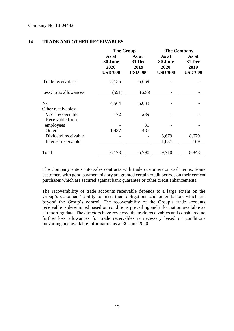|                                    | <b>The Group</b>                           |                                           | <b>The Company</b>                         |                                           |
|------------------------------------|--------------------------------------------|-------------------------------------------|--------------------------------------------|-------------------------------------------|
|                                    | As at<br>30 June<br>2020<br><b>USD'000</b> | As at<br>31 Dec<br>2019<br><b>USD'000</b> | As at<br>30 June<br>2020<br><b>USD'000</b> | As at<br>31 Dec<br>2019<br><b>USD'000</b> |
| Trade receivables                  | 5,155                                      | 5,659                                     |                                            |                                           |
| Less: Loss allowances              | (591)                                      | (626)                                     |                                            |                                           |
| <b>Net</b><br>Other receivables:   | 4,564                                      | 5,033                                     |                                            |                                           |
| VAT recoverable<br>Receivable from | 172                                        | 239                                       |                                            |                                           |
| employees                          |                                            | 31                                        |                                            |                                           |
| Others                             | 1,437                                      | 487                                       |                                            |                                           |
| Dividend receivable                |                                            |                                           | 8,679                                      | 8,679                                     |
| Interest receivable                |                                            |                                           | 1,031                                      | 169                                       |
| Total                              | 6,173                                      | 5,790                                     | 9,710                                      | 8,848                                     |

#### 14. **TRADE AND OTHER RECEIVABLES**

The Company enters into sales contracts with trade customers on cash terms. Some customers with good payment history are granted certain credit periods on their cement purchases which are secured against bank guarantee or other credit enhancements.

The recoverability of trade accounts receivable depends to a large extent on the Group's customers' ability to meet their obligations and other factors which are beyond the Group's control. The recoverability of the Group's trade accounts receivable is determined based on conditions prevailing and information available as at reporting date. The directors have reviewed the trade receivables and considered no further loss allowances for trade receivables is necessary based on conditions prevailing and available information as at 30 June 2020.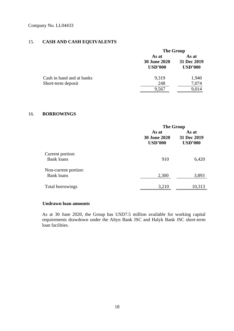### 15. **CASH AND CASH EQUIVALENTS**

|                           |                                                | <b>The Group</b>                       |  |  |
|---------------------------|------------------------------------------------|----------------------------------------|--|--|
|                           | As at<br><b>30 June 2020</b><br><b>USD'000</b> | As at<br>31 Dec 2019<br><b>USD'000</b> |  |  |
| Cash in hand and at banks | 9,319                                          | 1,940                                  |  |  |
| Short-term deposit        | 248                                            | 7,074                                  |  |  |
|                           | 9,567                                          | 9,014                                  |  |  |

#### 16. **BORROWINGS**

|                                           | <b>The Group</b>                               |                                        |  |
|-------------------------------------------|------------------------------------------------|----------------------------------------|--|
|                                           | As at<br><b>30 June 2020</b><br><b>USD'000</b> | As at<br>31 Dec 2019<br><b>USD'000</b> |  |
| Current portion:<br><b>Bank loans</b>     | 910                                            | 6,420                                  |  |
| Non-current portion:<br><b>Bank</b> loans | 2,300                                          | 3,893                                  |  |
| Total borrowings                          | 3,210                                          | 10,313                                 |  |

#### **Undrawn loan amounts**

As at 30 June 2020, the Group has USD7.5 million available for working capital requirements drawdown under the Altyn Bank JSC and Halyk Bank JSC short-term loan facilities.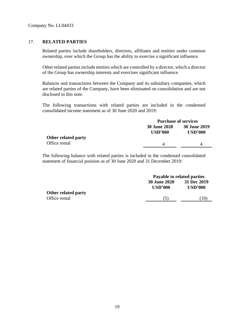#### 17. **RELATED PARTIES**

Related parties include shareholders, directors, affiliates and entities under common ownership, over which the Group has the ability to exercise a significant influence.

Other related parties include entities which are controlled by a director, which a director of the Group has ownership interests and exercises significant influence.

Balances and transactions between the Company and its subsidiary companies, which are related parties of the Company, have been eliminated on consolidation and are not disclosed in this note.

The following transactions with related parties are included in the condensed consolidated income statement as of 30 June 2020 and 2019:

|                     |                                       | <b>Purchase of services</b>           |  |  |
|---------------------|---------------------------------------|---------------------------------------|--|--|
|                     | <b>30 June 2020</b><br><b>USD'000</b> | <b>30 June 2019</b><br><b>USD'000</b> |  |  |
| Other related party |                                       |                                       |  |  |
| Office rental       |                                       |                                       |  |  |

The following balance with related parties is included in the condensed consolidated statement of financial position as of 30 June 2020 and 31 December 2019:

|                            | Payable to related parties     |                               |  |
|----------------------------|--------------------------------|-------------------------------|--|
|                            | <b>30 June 2020</b><br>USD'000 | 31 Dec 2019<br><b>USD'000</b> |  |
| <b>Other related party</b> |                                |                               |  |
| Office rental              | (5)                            | (10)                          |  |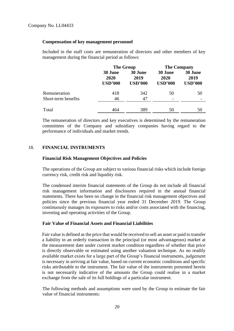#### **Compensation of key management personnel**

Included in the staff costs are remuneration of directors and other members of key management during the financial period as follows:

|                                     | <b>The Group</b>                  |                                   | <b>The Company</b>                |                                   |
|-------------------------------------|-----------------------------------|-----------------------------------|-----------------------------------|-----------------------------------|
|                                     | 30 June<br>2020<br><b>USD'000</b> | 30 June<br>2019<br><b>USD'000</b> | 30 June<br>2020<br><b>USD'000</b> | 30 June<br>2019<br><b>USD'000</b> |
| Remuneration<br>Short-term benefits | 418<br>46                         | 342<br>47                         | 50                                | 50                                |
| Total                               | 464                               | 389                               | 50                                | 50                                |

The remuneration of directors and key executives is determined by the remuneration committees of the Company and subsidiary companies having regard to the performance of individuals and market trends.

#### 18. **FINANCIAL INSTRUMENTS**

#### **Financial Risk Management Objectives and Policies**

The operations of the Group are subject to various financial risks which include foreign currency risk, credit risk and liquidity risk.

The condensed interim financial statements of the Group do not include all financial risk management information and disclosures required in the annual financial statements. There has been no change in the financial risk management objectives and policies since the previous financial year ended 31 December 2019. The Group continuously manages its exposures to risks and/or costs associated with the financing, investing and operating activities of the Group.

#### **Fair Value of Financial Assets and Financial Liabilities**

Fair value is defined as the price that would be received to sell an asset or paid to transfer a liability in an orderly transaction in the principal (or most advantageous) market at the measurement date under current market condition regardless of whether that price is directly observable or estimated using another valuation technique. As no readily available market exists for a large part of the Group's financial instruments, judgement is necessary in arriving at fair value, based on current economic conditions and specific risks attributable to the instrument. The fair value of the instruments presented herein is not necessarily indicative of the amounts the Group could realise in a market exchange from the sale of its full holdings of a particular instrument.

The following methods and assumptions were used by the Group to estimate the fair value of financial instruments: